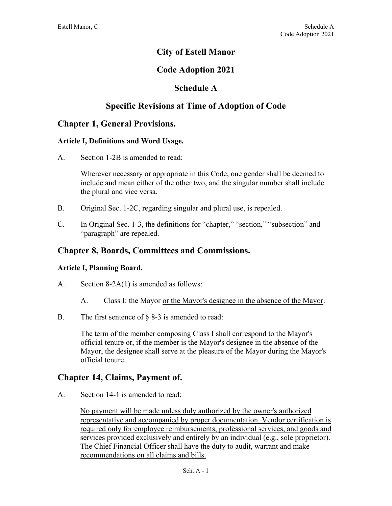# **City of Estell Manor**

# **Code Adoption 2021**

# **Schedule A**

# **Specific Revisions at Time of Adoption of Code**

# **Chapter 1, General Provisions.**

## **Article I, Definitions and Word Usage.**

A. Section 1-2B is amended to read:

Wherever necessary or appropriate in this Code, one gender shall be deemed to include and mean either of the other two, and the singular number shall include the plural and vice versa.

- B. Original Sec. 1-2C, regarding singular and plural use, is repealed.
- C. In Original Sec. 1-3, the definitions for "chapter," "section," "subsection" and "paragraph" are repealed.

# **Chapter 8, Boards, Committees and Commissions.**

## **Article I, Planning Board.**

- A. Section 8-2A(1) is amended as follows:
	- A. Class I: the Mayor or the Mayor's designee in the absence of the Mayor.
- B. The first sentence of  $\S$  8-3 is amended to read:

The term of the member composing Class I shall correspond to the Mayor's official tenure or, if the member is the Mayor's designee in the absence of the Mayor, the designee shall serve at the pleasure of the Mayor during the Mayor's official tenure.

# **Chapter 14, Claims, Payment of.**

A. Section 14-1 is amended to read:

No payment will be made unless duly authorized by the owner's authorized representative and accompanied by proper documentation. Vendor certification is required only for employee reimbursements, professional services, and goods and services provided exclusively and entirely by an individual (e.g., sole proprietor). The Chief Financial Officer shall have the duty to audit, warrant and make recommendations on all claims and bills.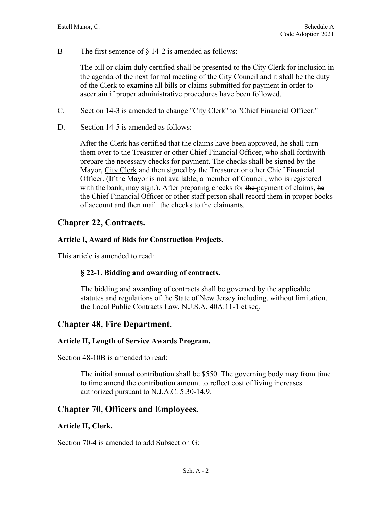B The first sentence of  $\S$  14-2 is amended as follows:

The bill or claim duly certified shall be presented to the City Clerk for inclusion in the agenda of the next formal meeting of the City Council and it shall be the duty of the Clerk to examine all bills or claims submitted for payment in order to ascertain if proper administrative procedures have been followed.

- C. Section 14-3 is amended to change "City Clerk" to "Chief Financial Officer."
- D. Section 14-5 is amended as follows:

After the Clerk has certified that the claims have been approved, he shall turn them over to the Treasurer or other Chief Financial Officer, who shall forthwith prepare the necessary checks for payment. The checks shall be signed by the Mayor, City Clerk and then signed by the Treasurer or other Chief Financial Officer. (If the Mayor is not available, a member of Council, who is registered with the bank, may sign.). After preparing checks for the payment of claims, he the Chief Financial Officer or other staff person shall record them in proper books of account and then mail. the checks to the claimants.

# **Chapter 22, Contracts.**

### **Article I, Award of Bids for Construction Projects.**

This article is amended to read:

## **§ 22-1. Bidding and awarding of contracts.**

The bidding and awarding of contracts shall be governed by the applicable statutes and regulations of the State of New Jersey including, without limitation, the Local Public Contracts Law, N.J.S.A. 40A:11-1 et seq.

# **Chapter 48, Fire Department.**

### **Article II, Length of Service Awards Program.**

Section 48-10B is amended to read:

The initial annual contribution shall be \$550. The governing body may from time to time amend the contribution amount to reflect cost of living increases authorized pursuant to N.J.A.C. 5:30-14.9.

# **Chapter 70, Officers and Employees.**

### **Article II, Clerk.**

Section 70-4 is amended to add Subsection G: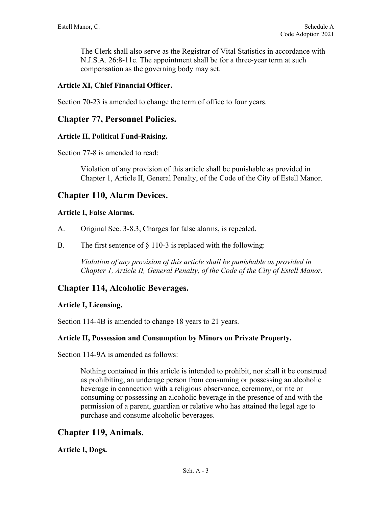The Clerk shall also serve as the Registrar of Vital Statistics in accordance with N.J.S.A. 26:8-11c. The appointment shall be for a three-year term at such compensation as the governing body may set.

### **Article XI, Chief Financial Officer.**

Section 70-23 is amended to change the term of office to four years.

# **Chapter 77, Personnel Policies.**

### **Article II, Political Fund-Raising.**

Section 77-8 is amended to read.

Violation of any provision of this article shall be punishable as provided in Chapter 1, Article II, General Penalty, of the Code of the City of Estell Manor.

## **Chapter 110, Alarm Devices.**

### **Article I, False Alarms.**

- A. Original Sec. 3-8.3, Charges for false alarms, is repealed.
- B. The first sentence of  $\S$  110-3 is replaced with the following:

*Violation of any provision of this article shall be punishable as provided in Chapter 1, Article II, General Penalty, of the Code of the City of Estell Manor.*

# **Chapter 114, Alcoholic Beverages.**

### **Article I, Licensing.**

Section 114-4B is amended to change 18 years to 21 years.

### **Article II, Possession and Consumption by Minors on Private Property.**

Section 114-9A is amended as follows:

Nothing contained in this article is intended to prohibit, nor shall it be construed as prohibiting, an underage person from consuming or possessing an alcoholic beverage in connection with a religious observance, ceremony, or rite or consuming or possessing an alcoholic beverage in the presence of and with the permission of a parent, guardian or relative who has attained the legal age to purchase and consume alcoholic beverages.

# **Chapter 119, Animals.**

### **Article I, Dogs.**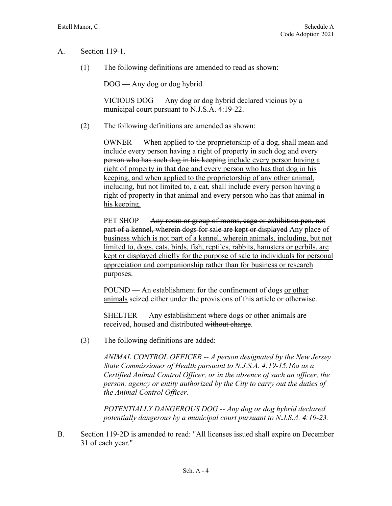- A. Section 119-1.
	- (1) The following definitions are amended to read as shown:

DOG — Any dog or dog hybrid.

VICIOUS DOG — Any dog or dog hybrid declared vicious by a municipal court pursuant to N.J.S.A. 4:19-22.

(2) The following definitions are amended as shown:

OWNER — When applied to the proprietorship of a dog, shall mean and include every person having a right of property in such dog and every person who has such dog in his keeping include every person having a right of property in that dog and every person who has that dog in his keeping, and when applied to the proprietorship of any other animal, including, but not limited to, a cat, shall include every person having a right of property in that animal and every person who has that animal in his keeping.

PET SHOP — Any room or group of rooms, cage or exhibition pen, not part of a kennel, wherein dogs for sale are kept or displayed Any place of business which is not part of a kennel, wherein animals, including, but not limited to, dogs, cats, birds, fish, reptiles, rabbits, hamsters or gerbils, are kept or displayed chiefly for the purpose of sale to individuals for personal appreciation and companionship rather than for business or research purposes.

POUND — An establishment for the confinement of dogs or other animals seized either under the provisions of this article or otherwise.

SHELTER — Any establishment where dogs or other animals are received, housed and distributed without charge.

(3) The following definitions are added:

*ANIMAL CONTROL OFFICER -- A person designated by the New Jersey State Commissioner of Health pursuant to N.J.S.A. 4:19-15.16a as a Certified Animal Control Officer, or in the absence of such an officer, the person, agency or entity authorized by the City to carry out the duties of the Animal Control Officer.*

*POTENTIALLY DANGEROUS DOG -- Any dog or dog hybrid declared potentially dangerous by a municipal court pursuant to N.J.S.A. 4:19-23.*

B. Section 119-2D is amended to read: "All licenses issued shall expire on December 31 of each year."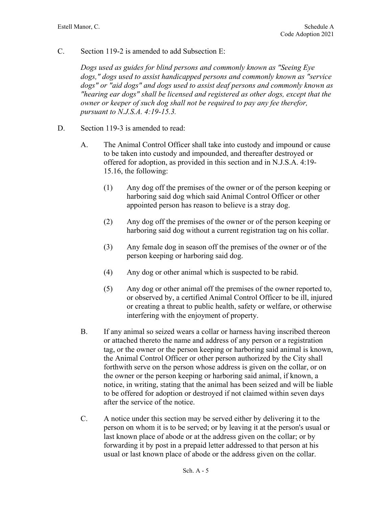C. Section 119-2 is amended to add Subsection E:

*Dogs used as guides for blind persons and commonly known as "Seeing Eye dogs," dogs used to assist handicapped persons and commonly known as "service dogs" or "aid dogs" and dogs used to assist deaf persons and commonly known as "hearing ear dogs" shall be licensed and registered as other dogs, except that the owner or keeper of such dog shall not be required to pay any fee therefor, pursuant to N.J.S.A. 4:19-15.3.*

- D. Section 119-3 is amended to read:
	- A. The Animal Control Officer shall take into custody and impound or cause to be taken into custody and impounded, and thereafter destroyed or offered for adoption, as provided in this section and in N.J.S.A. 4:19- 15.16, the following:
		- (1) Any dog off the premises of the owner or of the person keeping or harboring said dog which said Animal Control Officer or other appointed person has reason to believe is a stray dog.
		- (2) Any dog off the premises of the owner or of the person keeping or harboring said dog without a current registration tag on his collar.
		- (3) Any female dog in season off the premises of the owner or of the person keeping or harboring said dog.
		- (4) Any dog or other animal which is suspected to be rabid.
		- (5) Any dog or other animal off the premises of the owner reported to, or observed by, a certified Animal Control Officer to be ill, injured or creating a threat to public health, safety or welfare, or otherwise interfering with the enjoyment of property.
	- B. If any animal so seized wears a collar or harness having inscribed thereon or attached thereto the name and address of any person or a registration tag, or the owner or the person keeping or harboring said animal is known, the Animal Control Officer or other person authorized by the City shall forthwith serve on the person whose address is given on the collar, or on the owner or the person keeping or harboring said animal, if known, a notice, in writing, stating that the animal has been seized and will be liable to be offered for adoption or destroyed if not claimed within seven days after the service of the notice.
	- C. A notice under this section may be served either by delivering it to the person on whom it is to be served; or by leaving it at the person's usual or last known place of abode or at the address given on the collar; or by forwarding it by post in a prepaid letter addressed to that person at his usual or last known place of abode or the address given on the collar.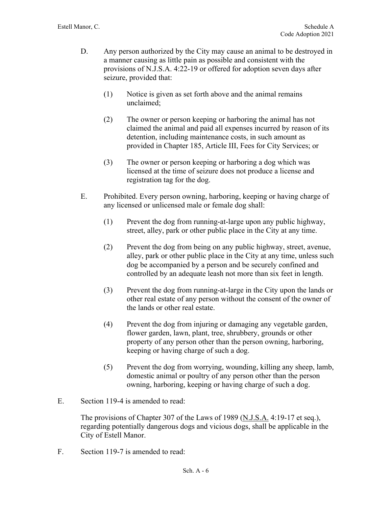- D. Any person authorized by the City may cause an animal to be destroyed in a manner causing as little pain as possible and consistent with the provisions of N.J.S.A. 4:22-19 or offered for adoption seven days after seizure, provided that:
	- (1) Notice is given as set forth above and the animal remains unclaimed;
	- (2) The owner or person keeping or harboring the animal has not claimed the animal and paid all expenses incurred by reason of its detention, including maintenance costs, in such amount as provided in Chapter 185, Article III, Fees for City Services; or
	- (3) The owner or person keeping or harboring a dog which was licensed at the time of seizure does not produce a license and registration tag for the dog.
- E. Prohibited. Every person owning, harboring, keeping or having charge of any licensed or unlicensed male or female dog shall:
	- (1) Prevent the dog from running-at-large upon any public highway, street, alley, park or other public place in the City at any time.
	- (2) Prevent the dog from being on any public highway, street, avenue, alley, park or other public place in the City at any time, unless such dog be accompanied by a person and be securely confined and controlled by an adequate leash not more than six feet in length.
	- (3) Prevent the dog from running-at-large in the City upon the lands or other real estate of any person without the consent of the owner of the lands or other real estate.
	- (4) Prevent the dog from injuring or damaging any vegetable garden, flower garden, lawn, plant, tree, shrubbery, grounds or other property of any person other than the person owning, harboring, keeping or having charge of such a dog.
	- (5) Prevent the dog from worrying, wounding, killing any sheep, lamb, domestic animal or poultry of any person other than the person owning, harboring, keeping or having charge of such a dog.
- E. Section 119-4 is amended to read:

The provisions of Chapter 307 of the Laws of 1989 (N.J.S.A. 4:19-17 et seq.), regarding potentially dangerous dogs and vicious dogs, shall be applicable in the City of Estell Manor.

F. Section 119-7 is amended to read: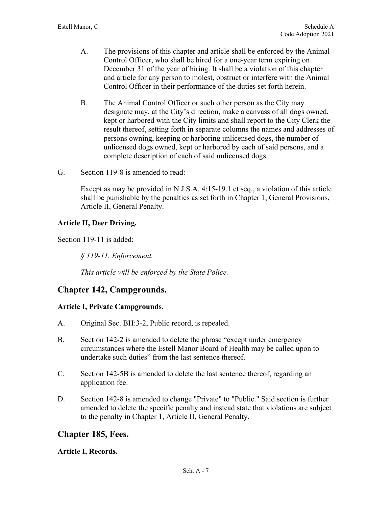- A. The provisions of this chapter and article shall be enforced by the Animal Control Officer, who shall be hired for a one-year term expiring on December 31 of the year of hiring. It shall be a violation of this chapter and article for any person to molest, obstruct or interfere with the Animal Control Officer in their performance of the duties set forth herein.
- B. The Animal Control Officer or such other person as the City may designate may, at the City's direction, make a canvass of all dogs owned, kept or harbored with the City limits and shall report to the City Clerk the result thereof, setting forth in separate columns the names and addresses of persons owning, keeping or harboring unlicensed dogs, the number of unlicensed dogs owned, kept or harbored by each of said persons, and a complete description of each of said unlicensed dogs.
- G. Section 119-8 is amended to read:

Except as may be provided in N.J.S.A. 4:15-19.1 et seq., a violation of this article shall be punishable by the penalties as set forth in Chapter 1, General Provisions, Article II, General Penalty.

# **Article II, Deer Driving.**

Section 119-11 is added:

*§ 119-11. Enforcement.*

*This article will be enforced by the State Police.*

# **Chapter 142, Campgrounds.**

## **Article I, Private Campgrounds.**

- A. Original Sec. BH:3-2, Public record, is repealed.
- B. Section 142-2 is amended to delete the phrase "except under emergency circumstances where the Estell Manor Board of Health may be called upon to undertake such duties" from the last sentence thereof.
- C. Section 142-5B is amended to delete the last sentence thereof, regarding an application fee.
- D. Section 142-8 is amended to change "Private" to "Public." Said section is further amended to delete the specific penalty and instead state that violations are subject to the penalty in Chapter 1, Article II, General Penalty.

# **Chapter 185, Fees.**

## **Article I, Records.**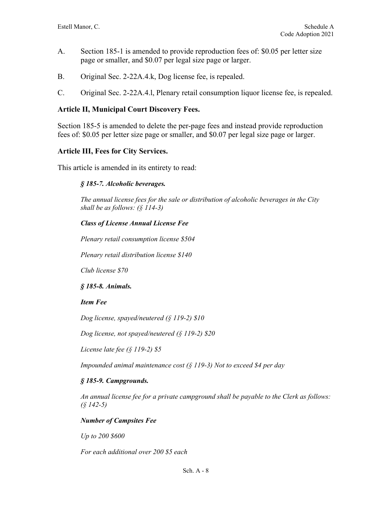- A. Section 185-1 is amended to provide reproduction fees of: \$0.05 per letter size page or smaller, and \$0.07 per legal size page or larger.
- B. Original Sec. 2-22A.4.k, Dog license fee, is repealed.
- C. Original Sec. 2-22A.4.l, Plenary retail consumption liquor license fee, is repealed.

### **Article II, Municipal Court Discovery Fees.**

Section 185-5 is amended to delete the per-page fees and instead provide reproduction fees of: \$0.05 per letter size page or smaller, and \$0.07 per legal size page or larger.

### **Article III, Fees for City Services.**

This article is amended in its entirety to read:

#### *§ 185-7. Alcoholic beverages.*

*The annual license fees for the sale or distribution of alcoholic beverages in the City shall be as follows: (§ 114-3)*

### *Class of License Annual License Fee*

*Plenary retail consumption license \$504*

*Plenary retail distribution license \$140*

*Club license \$70*

#### *§ 185-8. Animals.*

*Item Fee*

*Dog license, spayed/neutered (§ 119-2) \$10*

*Dog license, not spayed/neutered (§ 119-2) \$20*

*License late fee (§ 119-2) \$5*

*Impounded animal maintenance cost (§ 119-3) Not to exceed \$4 per day*

### *§ 185-9. Campgrounds.*

*An annual license fee for a private campground shall be payable to the Clerk as follows: (§ 142-5)*

#### *Number of Campsites Fee*

*Up to 200 \$600*

*For each additional over 200 \$5 each*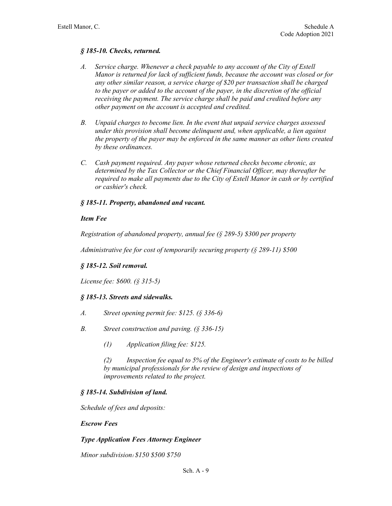#### *§ 185-10. Checks, returned.*

- *A. Service charge. Whenever a check payable to any account of the City of Estell Manor is returned for lack of sufficient funds, because the account was closed or for any other similar reason, a service charge of \$20 per transaction shall be charged to the payer or added to the account of the payer, in the discretion of the official receiving the payment. The service charge shall be paid and credited before any other payment on the account is accepted and credited.*
- *B. Unpaid charges to become lien. In the event that unpaid service charges assessed under this provision shall become delinquent and, when applicable, a lien against the property of the payer may be enforced in the same manner as other liens created by these ordinances.*
- *C. Cash payment required. Any payer whose returned checks become chronic, as determined by the Tax Collector or the Chief Financial Officer, may thereafter be required to make all payments due to the City of Estell Manor in cash or by certified or cashier's check.*

#### *§ 185-11. Property, abandoned and vacant.*

#### *Item Fee*

*Registration of abandoned property, annual fee (§ 289-5) \$300 per property*

*Administrative fee for cost of temporarily securing property (§ 289-11) \$500*

### *§ 185-12. Soil removal.*

*License fee: \$600. (§ 315-5)*

### *§ 185-13. Streets and sidewalks.*

- *A. Street opening permit fee: \$125. (§ 336-6)*
- *B. Street construction and paving. (§ 336-15)*
	- *(1) Application filing fee: \$125.*

*(2) Inspection fee equal to 5% of the Engineer's estimate of costs to be billed by municipal professionals for the review of design and inspections of improvements related to the project.*

### *§ 185-14. Subdivision of land.*

*Schedule of fees and deposits:*

#### *Escrow Fees*

### *Type Application Fees Attorney Engineer*

*Minor subdivision1 \$150 \$500 \$750*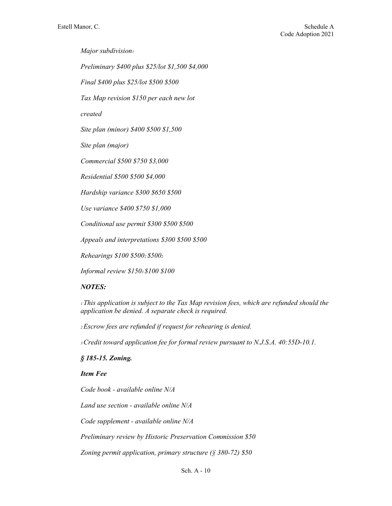*Major subdivision<sup>1</sup>*

*Preliminary \$400 plus \$25/lot \$1,500 \$4,000*

*Final \$400 plus \$25/lot \$500 \$500*

*Tax Map revision \$150 per each new lot*

*created*

*Site plan (minor) \$400 \$500 \$1,500*

*Site plan (major)*

*Commercial \$500 \$750 \$3,000*

*Residential \$500 \$500 \$4,000*

*Hardship variance \$300 \$650 \$500*

*Use variance \$400 \$750 \$1,000*

*Conditional use permit \$300 \$500 \$500*

*Appeals and interpretations \$300 \$500 \$500*

*Rehearings \$100 \$5002 \$500<sup>2</sup>*

*Informal review \$1503 \$100 \$100*

#### *NOTES:*

*<sup>1</sup>This application is subject to the Tax Map revision fees, which are refunded should the application be denied. A separate check is required.*

*<sup>2</sup>Escrow fees are refunded if request for rehearing is denied.*

*<sup>3</sup>Credit toward application fee for formal review pursuant to N.J.S.A. 40:55D-10.1.*

#### *§ 185-15. Zoning.*

*Item Fee*

*Code book - available online N/A*

*Land use section - available online N/A*

*Code supplement - available online N/A*

*Preliminary review by Historic Preservation Commission \$50*

*Zoning permit application, primary structure (§ 380-72) \$50*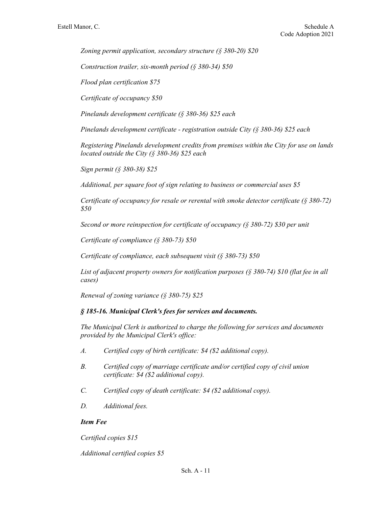*Zoning permit application, secondary structure (§ 380-20) \$20*

*Construction trailer, six-month period (§ 380-34) \$50*

*Flood plan certification \$75*

*Certificate of occupancy \$50*

*Pinelands development certificate (§ 380-36) \$25 each*

*Pinelands development certificate - registration outside City (§ 380-36) \$25 each*

*Registering Pinelands development credits from premises within the City for use on lands located outside the City (§ 380-36) \$25 each*

*Sign permit (§ 380-38) \$25*

*Additional, per square foot of sign relating to business or commercial uses \$5*

*Certificate of occupancy for resale or rerental with smoke detector certificate (§ 380-72) \$50*

*Second or more reinspection for certificate of occupancy (§ 380-72) \$30 per unit*

*Certificate of compliance (§ 380-73) \$50*

*Certificate of compliance, each subsequent visit (§ 380-73) \$50*

*List of adjacent property owners for notification purposes (§ 380-74) \$10 (flat fee in all cases)*

*Renewal of zoning variance (§ 380-75) \$25*

#### *§ 185-16. Municipal Clerk's fees for services and documents.*

*The Municipal Clerk is authorized to charge the following for services and documents provided by the Municipal Clerk's office:*

- *A. Certified copy of birth certificate: \$4 (\$2 additional copy).*
- *B. Certified copy of marriage certificate and/or certified copy of civil union certificate: \$4 (\$2 additional copy).*
- *C. Certified copy of death certificate: \$4 (\$2 additional copy).*
- *D. Additional fees.*

#### *Item Fee*

*Certified copies \$15*

*Additional certified copies \$5*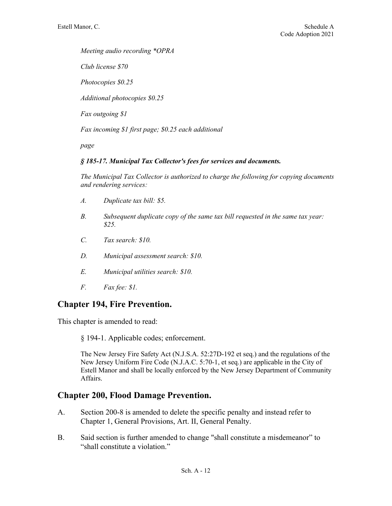*Meeting audio recording \*OPRA*

*Club license \$70*

*Photocopies \$0.25*

*Additional photocopies \$0.25*

*Fax outgoing \$1*

*Fax incoming \$1 first page; \$0.25 each additional*

*page*

### *§ 185-17. Municipal Tax Collector's fees for services and documents.*

*The Municipal Tax Collector is authorized to charge the following for copying documents and rendering services:*

- *A. Duplicate tax bill: \$5.*
- *B. Subsequent duplicate copy of the same tax bill requested in the same tax year: \$25.*
- *C. Tax search: \$10.*
- *D. Municipal assessment search: \$10.*
- *E. Municipal utilities search: \$10.*
- *F. Fax fee: \$1.*

# **Chapter 194, Fire Prevention.**

This chapter is amended to read:

§ 194-1. Applicable codes; enforcement.

The New Jersey Fire Safety Act (N.J.S.A. 52:27D-192 et seq.) and the regulations of the New Jersey Uniform Fire Code (N.J.A.C. 5:70-1, et seq.) are applicable in the City of Estell Manor and shall be locally enforced by the New Jersey Department of Community Affairs.

# **Chapter 200, Flood Damage Prevention.**

- A. Section 200-8 is amended to delete the specific penalty and instead refer to Chapter 1, General Provisions, Art. II, General Penalty.
- B. Said section is further amended to change "shall constitute a misdemeanor" to "shall constitute a violation."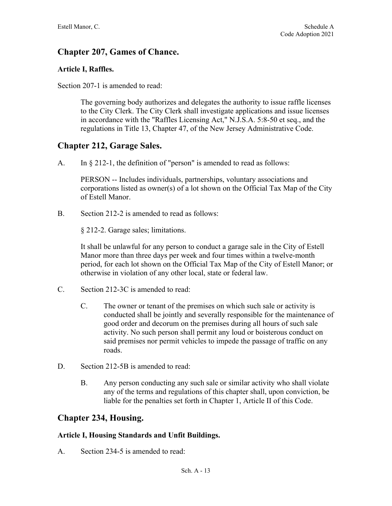# **Chapter 207, Games of Chance.**

## **Article I, Raffles.**

Section 207-1 is amended to read.

The governing body authorizes and delegates the authority to issue raffle licenses to the City Clerk. The City Clerk shall investigate applications and issue licenses in accordance with the "Raffles Licensing Act," N.J.S.A. 5:8-50 et seq., and the regulations in Title 13, Chapter 47, of the New Jersey Administrative Code.

# **Chapter 212, Garage Sales.**

A. In § 212-1, the definition of "person" is amended to read as follows:

PERSON -- Includes individuals, partnerships, voluntary associations and corporations listed as owner(s) of a lot shown on the Official Tax Map of the City of Estell Manor.

B. Section 212-2 is amended to read as follows:

§ 212-2. Garage sales; limitations.

It shall be unlawful for any person to conduct a garage sale in the City of Estell Manor more than three days per week and four times within a twelve-month period, for each lot shown on the Official Tax Map of the City of Estell Manor; or otherwise in violation of any other local, state or federal law.

- C. Section 212-3C is amended to read:
	- C. The owner or tenant of the premises on which such sale or activity is conducted shall be jointly and severally responsible for the maintenance of good order and decorum on the premises during all hours of such sale activity. No such person shall permit any loud or boisterous conduct on said premises nor permit vehicles to impede the passage of traffic on any roads.
- D. Section 212-5B is amended to read:
	- B. Any person conducting any such sale or similar activity who shall violate any of the terms and regulations of this chapter shall, upon conviction, be liable for the penalties set forth in Chapter 1, Article II of this Code.

# **Chapter 234, Housing.**

## **Article I, Housing Standards and Unfit Buildings.**

A. Section 234-5 is amended to read: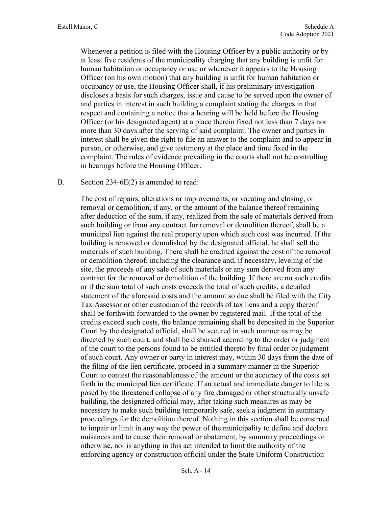Whenever a petition is filed with the Housing Officer by a public authority or by at least five residents of the municipality charging that any building is unfit for human habitation or occupancy or use or whenever it appears to the Housing Officer (on his own motion) that any building is unfit for human habitation or occupancy or use, the Housing Officer shall, if his preliminary investigation discloses a basis for such charges, issue and cause to be served upon the owner of and parties in interest in such building a complaint stating the charges in that respect and containing a notice that a hearing will be held before the Housing Officer (or his designated agent) at a place therein fixed not less than 7 days nor more than 30 days after the serving of said complaint. The owner and parties in interest shall be given the right to file an answer to the complaint and to appear in person, or otherwise, and give testimony at the place and time fixed in the complaint. The rules of evidence prevailing in the courts shall not be controlling in hearings before the Housing Officer.

### B. Section 234-6E(2) is amended to read:

The cost of repairs, alterations or improvements, or vacating and closing, or removal or demolition, if any, or the amount of the balance thereof remaining after deduction of the sum, if any, realized from the sale of materials derived from such building or from any contract for removal or demolition thereof, shall be a municipal lien against the real property upon which such cost was incurred. If the building is removed or demolished by the designated official, he shall sell the materials of such building. There shall be credited against the cost of the removal or demolition thereof, including the clearance and, if necessary, leveling of the site, the proceeds of any sale of such materials or any sum derived from any contract for the removal or demolition of the building. If there are no such credits or if the sum total of such costs exceeds the total of such credits, a detailed statement of the aforesaid costs and the amount so due shall be filed with the City Tax Assessor or other custodian of the records of tax liens and a copy thereof shall be forthwith forwarded to the owner by registered mail. If the total of the credits exceed such costs, the balance remaining shall be deposited in the Superior Court by the designated official, shall be secured in such manner as may be directed by such court, and shall be disbursed according to the order or judgment of the court to the persons found to be entitled thereto by final order or judgment of such court. Any owner or party in interest may, within 30 days from the date of the filing of the lien certificate, proceed in a summary manner in the Superior Court to contest the reasonableness of the amount or the accuracy of the costs set forth in the municipal lien certificate. If an actual and immediate danger to life is posed by the threatened collapse of any fire damaged or other structurally unsafe building, the designated official may, after taking such measures as may be necessary to make such building temporarily safe, seek a judgment in summary proceedings for the demolition thereof. Nothing in this section shall be construed to impair or limit in any way the power of the municipality to define and declare nuisances and to cause their removal or abatement, by summary proceedings or otherwise, nor is anything in this act intended to limit the authority of the enforcing agency or construction official under the State Uniform Construction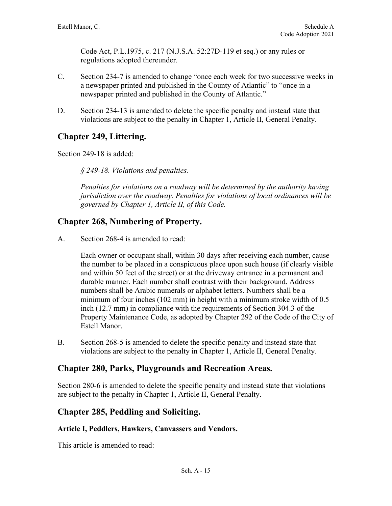Code Act, P.L.1975, c. 217 (N.J.S.A. 52:27D-119 et seq.) or any rules or regulations adopted thereunder.

- C. Section 234-7 is amended to change "once each week for two successive weeks in a newspaper printed and published in the County of Atlantic" to "once in a newspaper printed and published in the County of Atlantic."
- D. Section 234-13 is amended to delete the specific penalty and instead state that violations are subject to the penalty in Chapter 1, Article II, General Penalty.

# **Chapter 249, Littering.**

Section 249-18 is added:

*§ 249-18. Violations and penalties.*

*Penalties for violations on a roadway will be determined by the authority having jurisdiction over the roadway. Penalties for violations of local ordinances will be governed by Chapter 1, Article II, of this Code.*

# **Chapter 268, Numbering of Property.**

A. Section 268-4 is amended to read:

Each owner or occupant shall, within 30 days after receiving each number, cause the number to be placed in a conspicuous place upon such house (if clearly visible and within 50 feet of the street) or at the driveway entrance in a permanent and durable manner. Each number shall contrast with their background. Address numbers shall be Arabic numerals or alphabet letters. Numbers shall be a minimum of four inches (102 mm) in height with a minimum stroke width of 0.5 inch (12.7 mm) in compliance with the requirements of Section 304.3 of the Property Maintenance Code, as adopted by Chapter 292 of the Code of the City of Estell Manor.

B. Section 268-5 is amended to delete the specific penalty and instead state that violations are subject to the penalty in Chapter 1, Article II, General Penalty.

# **Chapter 280, Parks, Playgrounds and Recreation Areas.**

Section 280-6 is amended to delete the specific penalty and instead state that violations are subject to the penalty in Chapter 1, Article II, General Penalty.

# **Chapter 285, Peddling and Soliciting.**

## **Article I, Peddlers, Hawkers, Canvassers and Vendors.**

This article is amended to read: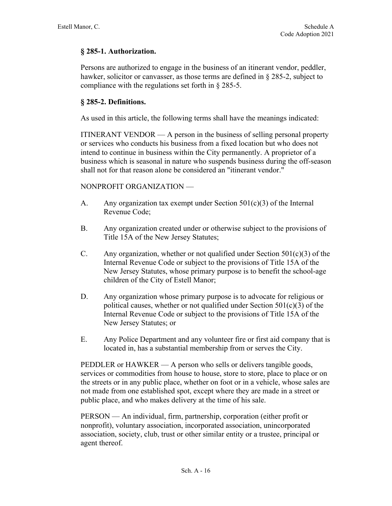## **§ 285-1. Authorization.**

Persons are authorized to engage in the business of an itinerant vendor, peddler, hawker, solicitor or canvasser, as those terms are defined in § 285-2, subject to compliance with the regulations set forth in § 285-5.

## **§ 285-2. Definitions.**

As used in this article, the following terms shall have the meanings indicated:

ITINERANT VENDOR — A person in the business of selling personal property or services who conducts his business from a fixed location but who does not intend to continue in business within the City permanently. A proprietor of a business which is seasonal in nature who suspends business during the off-season shall not for that reason alone be considered an "itinerant vendor."

## NONPROFIT ORGANIZATION —

- A. Any organization tax exempt under Section  $501(c)(3)$  of the Internal Revenue Code;
- B. Any organization created under or otherwise subject to the provisions of Title 15A of the New Jersey Statutes;
- C. Any organization, whether or not qualified under Section  $501(c)(3)$  of the Internal Revenue Code or subject to the provisions of Title 15A of the New Jersey Statutes, whose primary purpose is to benefit the school-age children of the City of Estell Manor;
- D. Any organization whose primary purpose is to advocate for religious or political causes, whether or not qualified under Section  $501(c)(3)$  of the Internal Revenue Code or subject to the provisions of Title 15A of the New Jersey Statutes; or
- E. Any Police Department and any volunteer fire or first aid company that is located in, has a substantial membership from or serves the City.

PEDDLER or HAWKER — A person who sells or delivers tangible goods, services or commodities from house to house, store to store, place to place or on the streets or in any public place, whether on foot or in a vehicle, whose sales are not made from one established spot, except where they are made in a street or public place, and who makes delivery at the time of his sale.

PERSON — An individual, firm, partnership, corporation (either profit or nonprofit), voluntary association, incorporated association, unincorporated association, society, club, trust or other similar entity or a trustee, principal or agent thereof.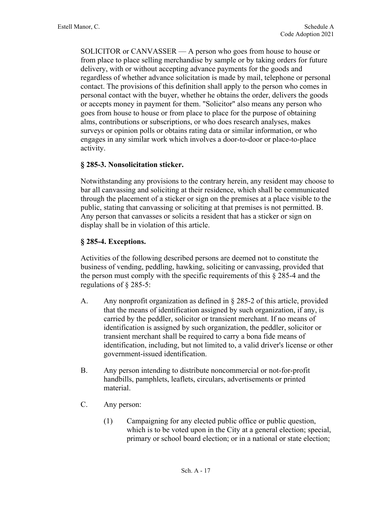SOLICITOR or CANVASSER — A person who goes from house to house or from place to place selling merchandise by sample or by taking orders for future delivery, with or without accepting advance payments for the goods and regardless of whether advance solicitation is made by mail, telephone or personal contact. The provisions of this definition shall apply to the person who comes in personal contact with the buyer, whether he obtains the order, delivers the goods or accepts money in payment for them. "Solicitor" also means any person who goes from house to house or from place to place for the purpose of obtaining alms, contributions or subscriptions, or who does research analyses, makes surveys or opinion polls or obtains rating data or similar information, or who engages in any similar work which involves a door-to-door or place-to-place activity.

### **§ 285-3. Nonsolicitation sticker.**

Notwithstanding any provisions to the contrary herein, any resident may choose to bar all canvassing and soliciting at their residence, which shall be communicated through the placement of a sticker or sign on the premises at a place visible to the public, stating that canvassing or soliciting at that premises is not permitted. B. Any person that canvasses or solicits a resident that has a sticker or sign on display shall be in violation of this article.

### **§ 285-4. Exceptions.**

Activities of the following described persons are deemed not to constitute the business of vending, peddling, hawking, soliciting or canvassing, provided that the person must comply with the specific requirements of this § 285-4 and the regulations of  $\S$  285-5:

- A. Any nonprofit organization as defined in § 285-2 of this article, provided that the means of identification assigned by such organization, if any, is carried by the peddler, solicitor or transient merchant. If no means of identification is assigned by such organization, the peddler, solicitor or transient merchant shall be required to carry a bona fide means of identification, including, but not limited to, a valid driver's license or other government-issued identification.
- B. Any person intending to distribute noncommercial or not-for-profit handbills, pamphlets, leaflets, circulars, advertisements or printed material.
- C. Any person:
	- (1) Campaigning for any elected public office or public question, which is to be voted upon in the City at a general election; special, primary or school board election; or in a national or state election;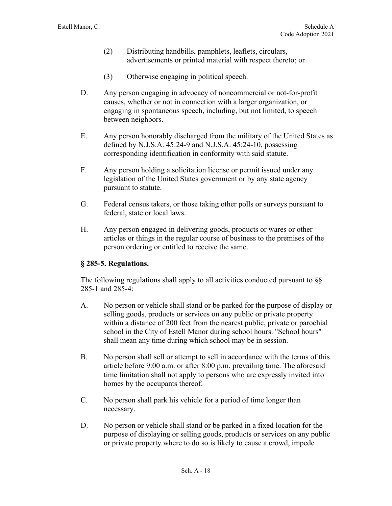- (2) Distributing handbills, pamphlets, leaflets, circulars, advertisements or printed material with respect thereto; or
- (3) Otherwise engaging in political speech.
- D. Any person engaging in advocacy of noncommercial or not-for-profit causes, whether or not in connection with a larger organization, or engaging in spontaneous speech, including, but not limited, to speech between neighbors.
- E. Any person honorably discharged from the military of the United States as defined by N.J.S.A. 45:24-9 and N.J.S.A. 45:24-10, possessing corresponding identification in conformity with said statute.
- F. Any person holding a solicitation license or permit issued under any legislation of the United States government or by any state agency pursuant to statute.
- G. Federal census takers, or those taking other polls or surveys pursuant to federal, state or local laws.
- H. Any person engaged in delivering goods, products or wares or other articles or things in the regular course of business to the premises of the person ordering or entitled to receive the same.

## **§ 285-5. Regulations.**

The following regulations shall apply to all activities conducted pursuant to §§ 285-1 and 285-4:

- A. No person or vehicle shall stand or be parked for the purpose of display or selling goods, products or services on any public or private property within a distance of 200 feet from the nearest public, private or parochial school in the City of Estell Manor during school hours. "School hours" shall mean any time during which school may be in session.
- B. No person shall sell or attempt to sell in accordance with the terms of this article before 9:00 a.m. or after 8:00 p.m. prevailing time. The aforesaid time limitation shall not apply to persons who are expressly invited into homes by the occupants thereof.
- C. No person shall park his vehicle for a period of time longer than necessary.
- D. No person or vehicle shall stand or be parked in a fixed location for the purpose of displaying or selling goods, products or services on any public or private property where to do so is likely to cause a crowd, impede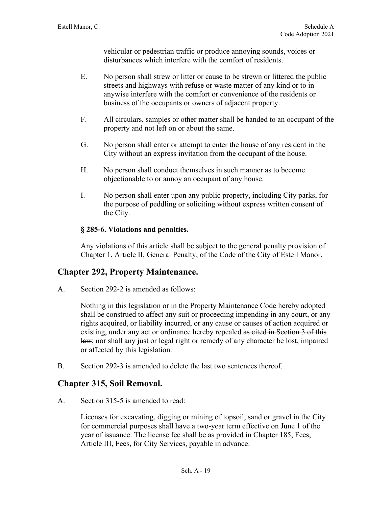vehicular or pedestrian traffic or produce annoying sounds, voices or disturbances which interfere with the comfort of residents.

- E. No person shall strew or litter or cause to be strewn or littered the public streets and highways with refuse or waste matter of any kind or to in anywise interfere with the comfort or convenience of the residents or business of the occupants or owners of adjacent property.
- F. All circulars, samples or other matter shall be handed to an occupant of the property and not left on or about the same.
- G. No person shall enter or attempt to enter the house of any resident in the City without an express invitation from the occupant of the house.
- H. No person shall conduct themselves in such manner as to become objectionable to or annoy an occupant of any house.
- I. No person shall enter upon any public property, including City parks, for the purpose of peddling or soliciting without express written consent of the City.

## **§ 285-6. Violations and penalties.**

Any violations of this article shall be subject to the general penalty provision of Chapter 1, Article II, General Penalty, of the Code of the City of Estell Manor.

# **Chapter 292, Property Maintenance.**

A. Section 292-2 is amended as follows:

Nothing in this legislation or in the Property Maintenance Code hereby adopted shall be construed to affect any suit or proceeding impending in any court, or any rights acquired, or liability incurred, or any cause or causes of action acquired or existing, under any act or ordinance hereby repealed as cited in Section 3 of this law; nor shall any just or legal right or remedy of any character be lost, impaired or affected by this legislation.

B. Section 292-3 is amended to delete the last two sentences thereof.

# **Chapter 315, Soil Removal.**

A. Section 315-5 is amended to read:

Licenses for excavating, digging or mining of topsoil, sand or gravel in the City for commercial purposes shall have a two-year term effective on June 1 of the year of issuance. The license fee shall be as provided in Chapter 185, Fees, Article III, Fees, for City Services, payable in advance.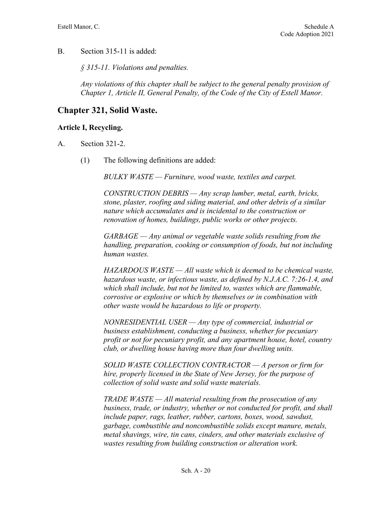B. Section 315-11 is added:

*§ 315-11. Violations and penalties.*

*Any violations of this chapter shall be subject to the general penalty provision of Chapter 1, Article II, General Penalty, of the Code of the City of Estell Manor.*

## **Chapter 321, Solid Waste.**

### **Article I, Recycling.**

- A. Section 321-2.
	- (1) The following definitions are added:

*BULKY WASTE — Furniture, wood waste, textiles and carpet.*

*CONSTRUCTION DEBRIS — Any scrap lumber, metal, earth, bricks, stone, plaster, roofing and siding material, and other debris of a similar nature which accumulates and is incidental to the construction or renovation of homes, buildings, public works or other projects.*

*GARBAGE — Any animal or vegetable waste solids resulting from the handling, preparation, cooking or consumption of foods, but not including human wastes.*

*HAZARDOUS WASTE — All waste which is deemed to be chemical waste, hazardous waste, or infectious waste, as defined by N.J.A.C. 7:26-1.4, and which shall include, but not be limited to, wastes which are flammable, corrosive or explosive or which by themselves or in combination with other waste would be hazardous to life or property.*

*NONRESIDENTIAL USER — Any type of commercial, industrial or business establishment, conducting a business, whether for pecuniary profit or not for pecuniary profit, and any apartment house, hotel, country club, or dwelling house having more than four dwelling units.*

*SOLID WASTE COLLECTION CONTRACTOR — A person or firm for hire, properly licensed in the State of New Jersey, for the purpose of collection of solid waste and solid waste materials.*

*TRADE WASTE — All material resulting from the prosecution of any business, trade, or industry, whether or not conducted for profit, and shall include paper, rags, leather, rubber, cartons, boxes, wood, sawdust, garbage, combustible and noncombustible solids except manure, metals, metal shavings, wire, tin cans, cinders, and other materials exclusive of wastes resulting from building construction or alteration work.*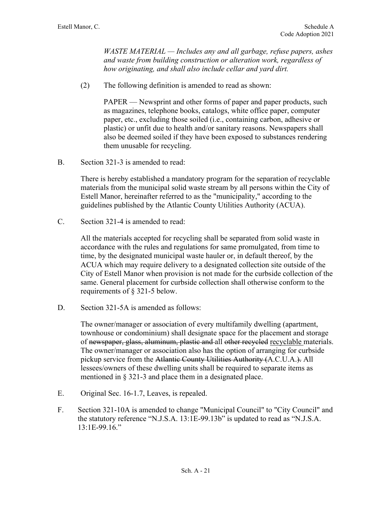*WASTE MATERIAL — Includes any and all garbage, refuse papers, ashes and waste from building construction or alteration work, regardless of how originating, and shall also include cellar and yard dirt.*

(2) The following definition is amended to read as shown:

PAPER — Newsprint and other forms of paper and paper products, such as magazines, telephone books, catalogs, white office paper, computer paper, etc., excluding those soiled (i.e., containing carbon, adhesive or plastic) or unfit due to health and/or sanitary reasons. Newspapers shall also be deemed soiled if they have been exposed to substances rendering them unusable for recycling.

B. Section 321-3 is amended to read:

There is hereby established a mandatory program for the separation of recyclable materials from the municipal solid waste stream by all persons within the City of Estell Manor, hereinafter referred to as the "municipality," according to the guidelines published by the Atlantic County Utilities Authority (ACUA).

C. Section 321-4 is amended to read:

All the materials accepted for recycling shall be separated from solid waste in accordance with the rules and regulations for same promulgated, from time to time, by the designated municipal waste hauler or, in default thereof, by the ACUA which may require delivery to a designated collection site outside of the City of Estell Manor when provision is not made for the curbside collection of the same. General placement for curbside collection shall otherwise conform to the requirements of § 321-5 below.

D. Section 321-5A is amended as follows:

The owner/manager or association of every multifamily dwelling (apartment, townhouse or condominium) shall designate space for the placement and storage of newspaper, glass, aluminum, plastic and all other recycled recyclable materials. The owner/manager or association also has the option of arranging for curbside pickup service from the Atlantic County Utilities Authority (A.C.U.A.). All lessees/owners of these dwelling units shall be required to separate items as mentioned in § 321-3 and place them in a designated place.

- E. Original Sec. 16-1.7, Leaves, is repealed.
- F. Section 321-10A is amended to change "Municipal Council" to "City Council" and the statutory reference "N.J.S.A. 13:1E-99.13b" is updated to read as "N.J.S.A. 13:1E-99.16."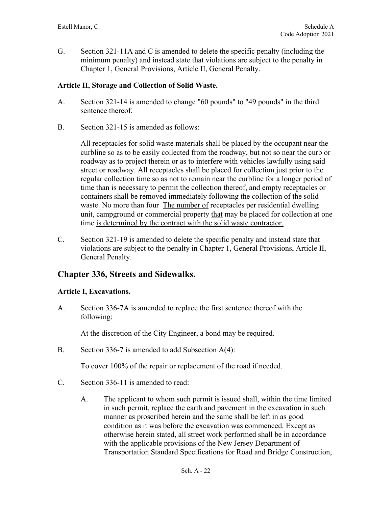G. Section 321-11A and C is amended to delete the specific penalty (including the minimum penalty) and instead state that violations are subject to the penalty in Chapter 1, General Provisions, Article II, General Penalty.

## **Article II, Storage and Collection of Solid Waste.**

- A. Section 321-14 is amended to change "60 pounds" to "49 pounds" in the third sentence thereof.
- B. Section 321-15 is amended as follows:

All receptacles for solid waste materials shall be placed by the occupant near the curbline so as to be easily collected from the roadway, but not so near the curb or roadway as to project therein or as to interfere with vehicles lawfully using said street or roadway. All receptacles shall be placed for collection just prior to the regular collection time so as not to remain near the curbline for a longer period of time than is necessary to permit the collection thereof, and empty receptacles or containers shall be removed immediately following the collection of the solid waste. No more than four The number of receptacles per residential dwelling unit, campground or commercial property that may be placed for collection at one time is determined by the contract with the solid waste contractor.

C. Section 321-19 is amended to delete the specific penalty and instead state that violations are subject to the penalty in Chapter 1, General Provisions, Article II, General Penalty.

# **Chapter 336, Streets and Sidewalks.**

### **Article I, Excavations.**

A. Section 336-7A is amended to replace the first sentence thereof with the following:

At the discretion of the City Engineer, a bond may be required.

B. Section 336-7 is amended to add Subsection A(4):

To cover 100% of the repair or replacement of the road if needed.

- C. Section 336-11 is amended to read:
	- A. The applicant to whom such permit is issued shall, within the time limited in such permit, replace the earth and pavement in the excavation in such manner as proscribed herein and the same shall be left in as good condition as it was before the excavation was commenced. Except as otherwise herein stated, all street work performed shall be in accordance with the applicable provisions of the New Jersey Department of Transportation Standard Specifications for Road and Bridge Construction,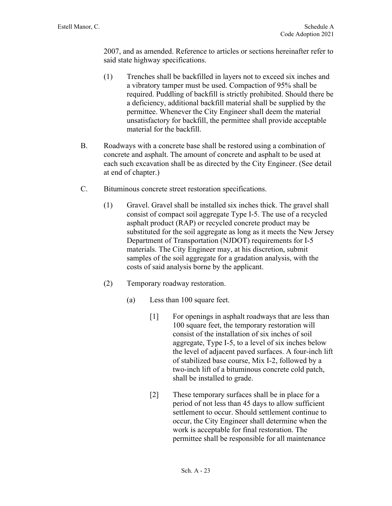2007, and as amended. Reference to articles or sections hereinafter refer to said state highway specifications.

- (1) Trenches shall be backfilled in layers not to exceed six inches and a vibratory tamper must be used. Compaction of 95% shall be required. Puddling of backfill is strictly prohibited. Should there be a deficiency, additional backfill material shall be supplied by the permittee. Whenever the City Engineer shall deem the material unsatisfactory for backfill, the permittee shall provide acceptable material for the backfill.
- B. Roadways with a concrete base shall be restored using a combination of concrete and asphalt. The amount of concrete and asphalt to be used at each such excavation shall be as directed by the City Engineer. (See detail at end of chapter.)
- C. Bituminous concrete street restoration specifications.
	- (1) Gravel. Gravel shall be installed six inches thick. The gravel shall consist of compact soil aggregate Type I-5. The use of a recycled asphalt product (RAP) or recycled concrete product may be substituted for the soil aggregate as long as it meets the New Jersey Department of Transportation (NJDOT) requirements for I-5 materials. The City Engineer may, at his discretion, submit samples of the soil aggregate for a gradation analysis, with the costs of said analysis borne by the applicant.
	- (2) Temporary roadway restoration.
		- (a) Less than 100 square feet.
			- [1] For openings in asphalt roadways that are less than 100 square feet, the temporary restoration will consist of the installation of six inches of soil aggregate, Type I-5, to a level of six inches below the level of adjacent paved surfaces. A four-inch lift of stabilized base course, Mix I-2, followed by a two-inch lift of a bituminous concrete cold patch, shall be installed to grade.
			- [2] These temporary surfaces shall be in place for a period of not less than 45 days to allow sufficient settlement to occur. Should settlement continue to occur, the City Engineer shall determine when the work is acceptable for final restoration. The permittee shall be responsible for all maintenance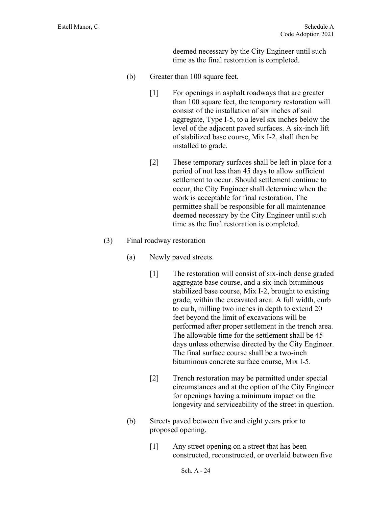deemed necessary by the City Engineer until such time as the final restoration is completed.

- (b) Greater than 100 square feet.
	- [1] For openings in asphalt roadways that are greater than 100 square feet, the temporary restoration will consist of the installation of six inches of soil aggregate, Type I-5, to a level six inches below the level of the adjacent paved surfaces. A six-inch lift of stabilized base course, Mix I-2, shall then be installed to grade.
	- [2] These temporary surfaces shall be left in place for a period of not less than 45 days to allow sufficient settlement to occur. Should settlement continue to occur, the City Engineer shall determine when the work is acceptable for final restoration. The permittee shall be responsible for all maintenance deemed necessary by the City Engineer until such time as the final restoration is completed.

### (3) Final roadway restoration

- (a) Newly paved streets.
	- [1] The restoration will consist of six-inch dense graded aggregate base course, and a six-inch bituminous stabilized base course, Mix I-2, brought to existing grade, within the excavated area. A full width, curb to curb, milling two inches in depth to extend 20 feet beyond the limit of excavations will be performed after proper settlement in the trench area. The allowable time for the settlement shall be 45 days unless otherwise directed by the City Engineer. The final surface course shall be a two-inch bituminous concrete surface course, Mix I-5.
	- [2] Trench restoration may be permitted under special circumstances and at the option of the City Engineer for openings having a minimum impact on the longevity and serviceability of the street in question.
- (b) Streets paved between five and eight years prior to proposed opening.
	- [1] Any street opening on a street that has been constructed, reconstructed, or overlaid between five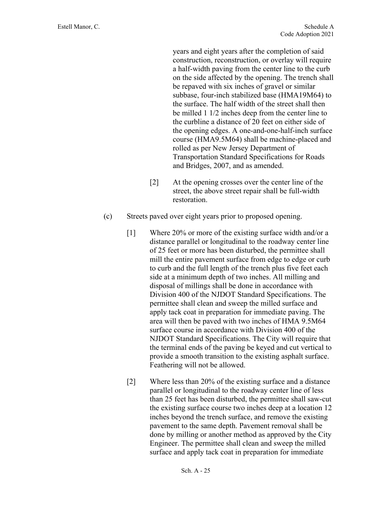years and eight years after the completion of said construction, reconstruction, or overlay will require a half-width paving from the center line to the curb on the side affected by the opening. The trench shall be repaved with six inches of gravel or similar subbase, four-inch stabilized base (HMA19M64) to the surface. The half width of the street shall then be milled 1 1/2 inches deep from the center line to the curbline a distance of 20 feet on either side of the opening edges. A one-and-one-half-inch surface course (HMA9.5M64) shall be machine-placed and rolled as per New Jersey Department of Transportation Standard Specifications for Roads and Bridges, 2007, and as amended.

- [2] At the opening crosses over the center line of the street, the above street repair shall be full-width restoration.
- (c) Streets paved over eight years prior to proposed opening.
	- [1] Where 20% or more of the existing surface width and/or a distance parallel or longitudinal to the roadway center line of 25 feet or more has been disturbed, the permittee shall mill the entire pavement surface from edge to edge or curb to curb and the full length of the trench plus five feet each side at a minimum depth of two inches. All milling and disposal of millings shall be done in accordance with Division 400 of the NJDOT Standard Specifications. The permittee shall clean and sweep the milled surface and apply tack coat in preparation for immediate paving. The area will then be paved with two inches of HMA 9.5M64 surface course in accordance with Division 400 of the NJDOT Standard Specifications. The City will require that the terminal ends of the paving be keyed and cut vertical to provide a smooth transition to the existing asphalt surface. Feathering will not be allowed.
	- [2] Where less than 20% of the existing surface and a distance parallel or longitudinal to the roadway center line of less than 25 feet has been disturbed, the permittee shall saw-cut the existing surface course two inches deep at a location 12 inches beyond the trench surface, and remove the existing pavement to the same depth. Pavement removal shall be done by milling or another method as approved by the City Engineer. The permittee shall clean and sweep the milled surface and apply tack coat in preparation for immediate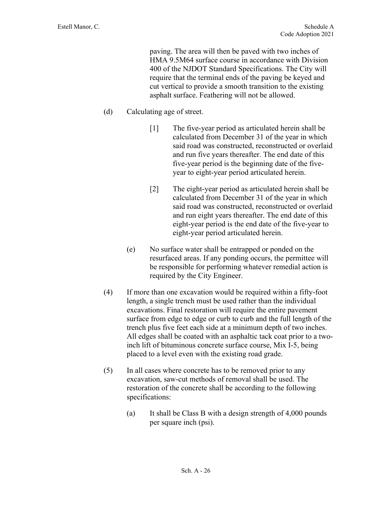paving. The area will then be paved with two inches of HMA 9.5M64 surface course in accordance with Division 400 of the NJDOT Standard Specifications. The City will require that the terminal ends of the paving be keyed and cut vertical to provide a smooth transition to the existing asphalt surface. Feathering will not be allowed.

- (d) Calculating age of street.
	- [1] The five-year period as articulated herein shall be calculated from December 31 of the year in which said road was constructed, reconstructed or overlaid and run five years thereafter. The end date of this five-year period is the beginning date of the fiveyear to eight-year period articulated herein.
	- [2] The eight-year period as articulated herein shall be calculated from December 31 of the year in which said road was constructed, reconstructed or overlaid and run eight years thereafter. The end date of this eight-year period is the end date of the five-year to eight-year period articulated herein.
	- (e) No surface water shall be entrapped or ponded on the resurfaced areas. If any ponding occurs, the permittee will be responsible for performing whatever remedial action is required by the City Engineer.
- (4) If more than one excavation would be required within a fifty-foot length, a single trench must be used rather than the individual excavations. Final restoration will require the entire pavement surface from edge to edge or curb to curb and the full length of the trench plus five feet each side at a minimum depth of two inches. All edges shall be coated with an asphaltic tack coat prior to a twoinch lift of bituminous concrete surface course, Mix I-5, being placed to a level even with the existing road grade.
- (5) In all cases where concrete has to be removed prior to any excavation, saw-cut methods of removal shall be used. The restoration of the concrete shall be according to the following specifications:
	- (a) It shall be Class B with a design strength of 4,000 pounds per square inch (psi).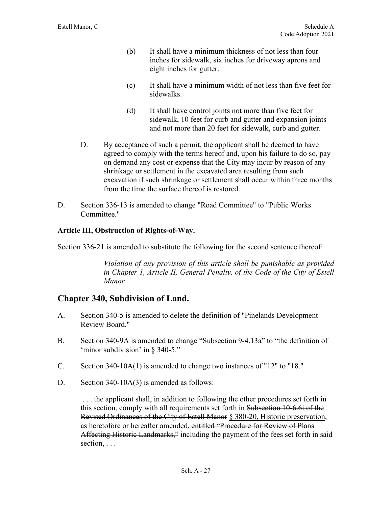- (b) It shall have a minimum thickness of not less than four inches for sidewalk, six inches for driveway aprons and eight inches for gutter.
- (c) It shall have a minimum width of not less than five feet for sidewalks.
- (d) It shall have control joints not more than five feet for sidewalk, 10 feet for curb and gutter and expansion joints and not more than 20 feet for sidewalk, curb and gutter.
- D. By acceptance of such a permit, the applicant shall be deemed to have agreed to comply with the terms hereof and, upon his failure to do so, pay on demand any cost or expense that the City may incur by reason of any shrinkage or settlement in the excavated area resulting from such excavation if such shrinkage or settlement shall occur within three months from the time the surface thereof is restored.
- D. Section 336-13 is amended to change "Road Committee" to "Public Works Committee."

## **Article III, Obstruction of Rights-of-Way.**

Section 336-21 is amended to substitute the following for the second sentence thereof:

*Violation of any provision of this article shall be punishable as provided in Chapter 1, Article II, General Penalty, of the Code of the City of Estell Manor.*

# **Chapter 340, Subdivision of Land.**

- A. Section 340-5 is amended to delete the definition of "Pinelands Development Review Board."
- B. Section 340-9A is amended to change "Subsection 9-4.13a" to "the definition of 'minor subdivision' in § 340-5."
- C. Section 340-10A(1) is amended to change two instances of "12" to "18."
- D. Section 340-10A(3) is amended as follows:

 . . . the applicant shall, in addition to following the other procedures set forth in this section, comply with all requirements set forth in Subsection 10-6.6i of the Revised Ordinances of the City of Estell Manor § 380-20, Historic preservation, as heretofore or hereafter amended, entitled "Procedure for Review of Plans Affecting Historic Landmarks," including the payment of the fees set forth in said section, . . .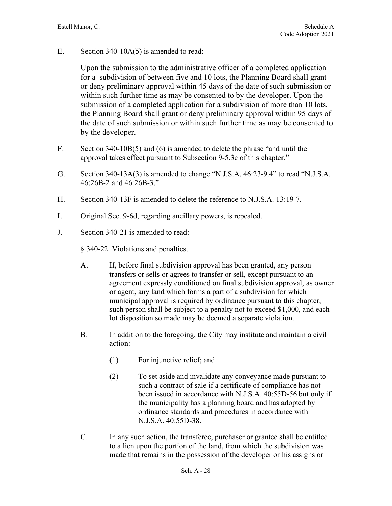E. Section 340-10A(5) is amended to read:

Upon the submission to the administrative officer of a completed application for a subdivision of between five and 10 lots, the Planning Board shall grant or deny preliminary approval within 45 days of the date of such submission or within such further time as may be consented to by the developer. Upon the submission of a completed application for a subdivision of more than 10 lots, the Planning Board shall grant or deny preliminary approval within 95 days of the date of such submission or within such further time as may be consented to by the developer.

- F. Section 340-10B(5) and (6) is amended to delete the phrase "and until the approval takes effect pursuant to Subsection 9-5.3c of this chapter."
- G. Section 340-13A(3) is amended to change "N.J.S.A. 46:23-9.4" to read "N.J.S.A. 46:26B-2 and 46:26B-3."
- H. Section 340-13F is amended to delete the reference to N.J.S.A. 13:19-7.
- I. Original Sec. 9-6d, regarding ancillary powers, is repealed.
- J. Section 340-21 is amended to read:

§ 340-22. Violations and penalties.

- A. If, before final subdivision approval has been granted, any person transfers or sells or agrees to transfer or sell, except pursuant to an agreement expressly conditioned on final subdivision approval, as owner or agent, any land which forms a part of a subdivision for which municipal approval is required by ordinance pursuant to this chapter, such person shall be subject to a penalty not to exceed \$1,000, and each lot disposition so made may be deemed a separate violation.
- B. In addition to the foregoing, the City may institute and maintain a civil action:
	- (1) For injunctive relief; and
	- (2) To set aside and invalidate any conveyance made pursuant to such a contract of sale if a certificate of compliance has not been issued in accordance with N.J.S.A. 40:55D-56 but only if the municipality has a planning board and has adopted by ordinance standards and procedures in accordance with N.J.S.A. 40:55D-38.
- C. In any such action, the transferee, purchaser or grantee shall be entitled to a lien upon the portion of the land, from which the subdivision was made that remains in the possession of the developer or his assigns or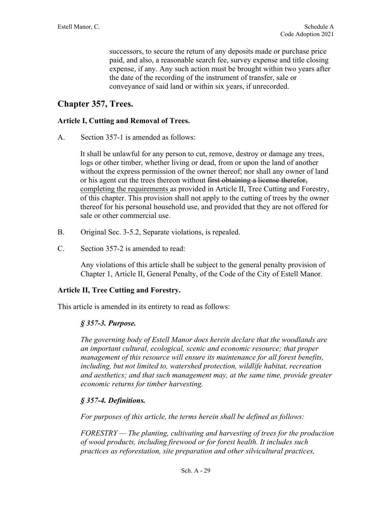successors, to secure the return of any deposits made or purchase price paid, and also, a reasonable search fee, survey expense and title closing expense, if any. Any such action must be brought within two years after the date of the recording of the instrument of transfer, sale or conveyance of said land or within six years, if unrecorded.

# **Chapter 357, Trees.**

### **Article I, Cutting and Removal of Trees.**

A. Section 357-1 is amended as follows:

It shall be unlawful for any person to cut, remove, destroy or damage any trees, logs or other timber, whether living or dead, from or upon the land of another without the express permission of the owner thereof; nor shall any owner of land or his agent cut the trees thereon without first obtaining a license therefor, completing the requirements as provided in Article II, Tree Cutting and Forestry, of this chapter. This provision shall not apply to the cutting of trees by the owner thereof for his personal household use, and provided that they are not offered for sale or other commercial use.

- B. Original Sec. 3-5.2, Separate violations, is repealed.
- C. Section 357-2 is amended to read:

Any violations of this article shall be subject to the general penalty provision of Chapter 1, Article II, General Penalty, of the Code of the City of Estell Manor.

## **Article II, Tree Cutting and Forestry.**

This article is amended in its entirety to read as follows:

## *§ 357-3. Purpose.*

*The governing body of Estell Manor does herein declare that the woodlands are an important cultural, ecological, scenic and economic resource; that proper management of this resource will ensure its maintenance for all forest benefits, including, but not limited to, watershed protection, wildlife habitat, recreation and aesthetics; and that such management may, at the same time, provide greater economic returns for timber harvesting.*

## *§ 357-4. Definitions.*

*For purposes of this article, the terms herein shall be defined as follows:*

*FORESTRY — The planting, cultivating and harvesting of trees for the production of wood products, including firewood or for forest health. It includes such practices as reforestation, site preparation and other silvicultural practices,*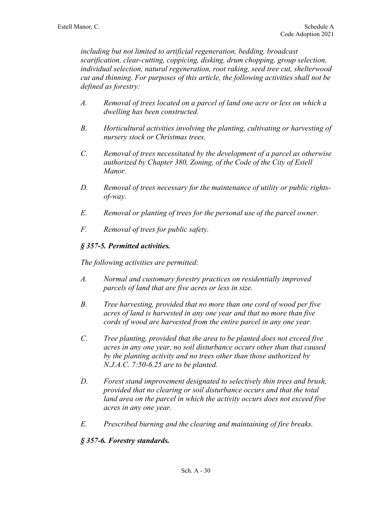*including but not limited to artificial regeneration, bedding, broadcast scarification, clear-cutting, coppicing, disking, drum chopping, group selection, individual selection, natural regeneration, root raking, seed tree cut, shelterwood cut and thinning. For purposes of this article, the following activities shall not be defined as forestry:*

- *A. Removal of trees located on a parcel of land one acre or less on which a dwelling has been constructed.*
- *B. Horticultural activities involving the planting, cultivating or harvesting of nursery stock or Christmas trees.*
- *C. Removal of trees necessitated by the development of a parcel as otherwise authorized by Chapter 380, Zoning, of the Code of the City of Estell Manor.*
- *D. Removal of trees necessary for the maintenance of utility or public rightsof-way.*
- *E. Removal or planting of trees for the personal use of the parcel owner.*
- *F. Removal of trees for public safety.*

## *§ 357-5. Permitted activities.*

*The following activities are permitted:*

- *A. Normal and customary forestry practices on residentially improved parcels of land that are five acres or less in size.*
- *B. Tree harvesting, provided that no more than one cord of wood per five acres of land is harvested in any one year and that no more than five cords of wood are harvested from the entire parcel in any one year.*
- *C. Tree planting, provided that the area to be planted does not exceed five acres in any one year, no soil disturbance occurs other than that caused by the planting activity and no trees other than those authorized by N.J.A.C. 7:50-6.25 are to be planted.*
- *D. Forest stand improvement designated to selectively thin trees and brush, provided that no clearing or soil disturbance occurs and that the total land area on the parcel in which the activity occurs does not exceed five acres in any one year.*
- *E. Prescribed burning and the clearing and maintaining of fire breaks.*

## *§ 357-6. Forestry standards.*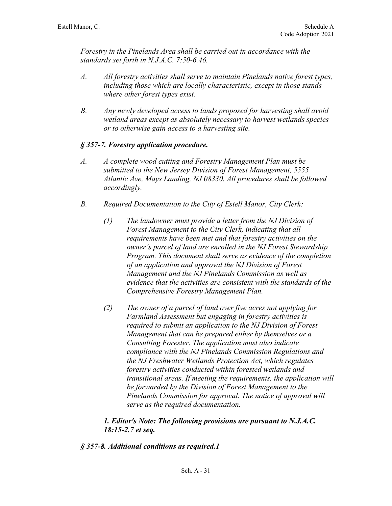*Forestry in the Pinelands Area shall be carried out in accordance with the standards set forth in N.J.A.C. 7:50-6.46.*

- *A. All forestry activities shall serve to maintain Pinelands native forest types, including those which are locally characteristic, except in those stands where other forest types exist.*
- *B. Any newly developed access to lands proposed for harvesting shall avoid wetland areas except as absolutely necessary to harvest wetlands species or to otherwise gain access to a harvesting site.*

## *§ 357-7. Forestry application procedure.*

- *A. A complete wood cutting and Forestry Management Plan must be submitted to the New Jersey Division of Forest Management, 5555 Atlantic Ave, Mays Landing, NJ 08330. All procedures shall be followed accordingly.*
- *B. Required Documentation to the City of Estell Manor, City Clerk:*
	- *(1) The landowner must provide a letter from the NJ Division of Forest Management to the City Clerk, indicating that all requirements have been met and that forestry activities on the owner's parcel of land are enrolled in the NJ Forest Stewardship Program. This document shall serve as evidence of the completion of an application and approval the NJ Division of Forest Management and the NJ Pinelands Commission as well as evidence that the activities are consistent with the standards of the Comprehensive Forestry Management Plan.*
	- *(2) The owner of a parcel of land over five acres not applying for Farmland Assessment but engaging in forestry activities is required to submit an application to the NJ Division of Forest Management that can be prepared either by themselves or a Consulting Forester. The application must also indicate compliance with the NJ Pinelands Commission Regulations and the NJ Freshwater Wetlands Protection Act, which regulates forestry activities conducted within forested wetlands and transitional areas. If meeting the requirements, the application will be forwarded by the Division of Forest Management to the Pinelands Commission for approval. The notice of approval will serve as the required documentation.*

## *1. Editor's Note: The following provisions are pursuant to N.J.A.C. 18:15-2.7 et seq.*

## *§ 357-8. Additional conditions as required.1*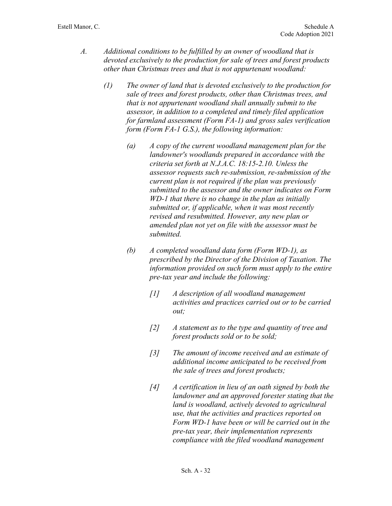- *A. Additional conditions to be fulfilled by an owner of woodland that is devoted exclusively to the production for sale of trees and forest products other than Christmas trees and that is not appurtenant woodland:*
	- *(1) The owner of land that is devoted exclusively to the production for sale of trees and forest products, other than Christmas trees, and that is not appurtenant woodland shall annually submit to the assessor, in addition to a completed and timely filed application for farmland assessment (Form FA-1) and gross sales verification form (Form FA-1 G.S.), the following information:*
		- *(a) A copy of the current woodland management plan for the landowner's woodlands prepared in accordance with the criteria set forth at N.J.A.C. 18:15-2.10. Unless the assessor requests such re-submission, re-submission of the current plan is not required if the plan was previously submitted to the assessor and the owner indicates on Form WD-1 that there is no change in the plan as initially submitted or, if applicable, when it was most recently revised and resubmitted. However, any new plan or amended plan not yet on file with the assessor must be submitted.*
		- *(b) A completed woodland data form (Form WD-1), as prescribed by the Director of the Division of Taxation. The information provided on such form must apply to the entire pre-tax year and include the following:*
			- *[1] A description of all woodland management activities and practices carried out or to be carried out;*
			- *[2] A statement as to the type and quantity of tree and forest products sold or to be sold;*
			- *[3] The amount of income received and an estimate of additional income anticipated to be received from the sale of trees and forest products;*
			- *[4] A certification in lieu of an oath signed by both the landowner and an approved forester stating that the land is woodland, actively devoted to agricultural use, that the activities and practices reported on Form WD-1 have been or will be carried out in the pre-tax year, their implementation represents compliance with the filed woodland management*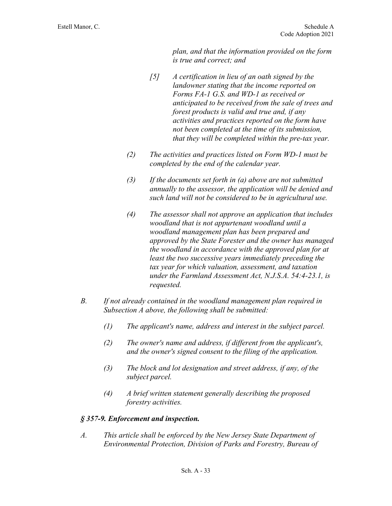*plan, and that the information provided on the form is true and correct; and*

- *[5] A certification in lieu of an oath signed by the landowner stating that the income reported on Forms FA-1 G.S. and WD-1 as received or anticipated to be received from the sale of trees and forest products is valid and true and, if any activities and practices reported on the form have not been completed at the time of its submission, that they will be completed within the pre-tax year.*
- *(2) The activities and practices listed on Form WD-1 must be completed by the end of the calendar year.*
- *(3) If the documents set forth in (a) above are not submitted annually to the assessor, the application will be denied and such land will not be considered to be in agricultural use.*
- *(4) The assessor shall not approve an application that includes woodland that is not appurtenant woodland until a woodland management plan has been prepared and approved by the State Forester and the owner has managed the woodland in accordance with the approved plan for at least the two successive years immediately preceding the tax year for which valuation, assessment, and taxation under the Farmland Assessment Act, N.J.S.A. 54:4-23.1, is requested.*
- *B. If not already contained in the woodland management plan required in Subsection A above, the following shall be submitted:*
	- *(1) The applicant's name, address and interest in the subject parcel.*
	- *(2) The owner's name and address, if different from the applicant's, and the owner's signed consent to the filing of the application.*
	- *(3) The block and lot designation and street address, if any, of the subject parcel.*
	- *(4) A brief written statement generally describing the proposed forestry activities.*

## *§ 357-9. Enforcement and inspection.*

*A. This article shall be enforced by the New Jersey State Department of Environmental Protection, Division of Parks and Forestry, Bureau of*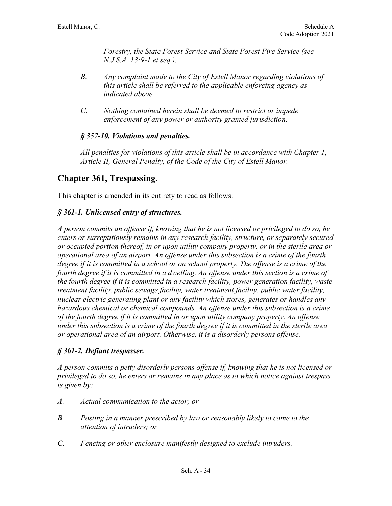*Forestry, the State Forest Service and State Forest Fire Service (see N.J.S.A. 13:9-1 et seq.).*

- *B. Any complaint made to the City of Estell Manor regarding violations of this article shall be referred to the applicable enforcing agency as indicated above.*
- *C. Nothing contained herein shall be deemed to restrict or impede enforcement of any power or authority granted jurisdiction.*

## *§ 357-10. Violations and penalties.*

*All penalties for violations of this article shall be in accordance with Chapter 1, Article II, General Penalty, of the Code of the City of Estell Manor.*

# **Chapter 361, Trespassing.**

This chapter is amended in its entirety to read as follows:

## *§ 361-1. Unlicensed entry of structures.*

*A person commits an offense if, knowing that he is not licensed or privileged to do so, he enters or surreptitiously remains in any research facility, structure, or separately secured or occupied portion thereof, in or upon utility company property, or in the sterile area or operational area of an airport. An offense under this subsection is a crime of the fourth degree if it is committed in a school or on school property. The offense is a crime of the fourth degree if it is committed in a dwelling. An offense under this section is a crime of the fourth degree if it is committed in a research facility, power generation facility, waste treatment facility, public sewage facility, water treatment facility, public water facility, nuclear electric generating plant or any facility which stores, generates or handles any hazardous chemical or chemical compounds. An offense under this subsection is a crime of the fourth degree if it is committed in or upon utility company property. An offense under this subsection is a crime of the fourth degree if it is committed in the sterile area or operational area of an airport. Otherwise, it is a disorderly persons offense.*

## *§ 361-2. Defiant trespasser.*

*A person commits a petty disorderly persons offense if, knowing that he is not licensed or privileged to do so, he enters or remains in any place as to which notice against trespass is given by:*

- *A. Actual communication to the actor; or*
- *B. Posting in a manner prescribed by law or reasonably likely to come to the attention of intruders; or*
- *C. Fencing or other enclosure manifestly designed to exclude intruders.*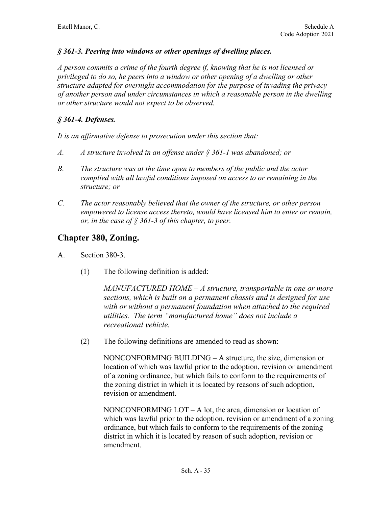## *§ 361-3. Peering into windows or other openings of dwelling places.*

*A person commits a crime of the fourth degree if, knowing that he is not licensed or privileged to do so, he peers into a window or other opening of a dwelling or other structure adapted for overnight accommodation for the purpose of invading the privacy of another person and under circumstances in which a reasonable person in the dwelling or other structure would not expect to be observed.*

## *§ 361-4. Defenses.*

*It is an affirmative defense to prosecution under this section that:*

- *A. A structure involved in an offense under § 361-1 was abandoned; or*
- *B. The structure was at the time open to members of the public and the actor complied with all lawful conditions imposed on access to or remaining in the structure; or*
- *C. The actor reasonably believed that the owner of the structure, or other person empowered to license access thereto, would have licensed him to enter or remain, or, in the case of § 361-3 of this chapter, to peer.*

# **Chapter 380, Zoning.**

- A. Section 380-3.
	- (1) The following definition is added:

*MANUFACTURED HOME – A structure, transportable in one or more sections, which is built on a permanent chassis and is designed for use with or without a permanent foundation when attached to the required utilities. The term "manufactured home" does not include a recreational vehicle.*

(2) The following definitions are amended to read as shown:

NONCONFORMING BUILDING – A structure, the size, dimension or location of which was lawful prior to the adoption, revision or amendment of a zoning ordinance, but which fails to conform to the requirements of the zoning district in which it is located by reasons of such adoption, revision or amendment.

NONCONFORMING LOT – A lot, the area, dimension or location of which was lawful prior to the adoption, revision or amendment of a zoning ordinance, but which fails to conform to the requirements of the zoning district in which it is located by reason of such adoption, revision or amendment.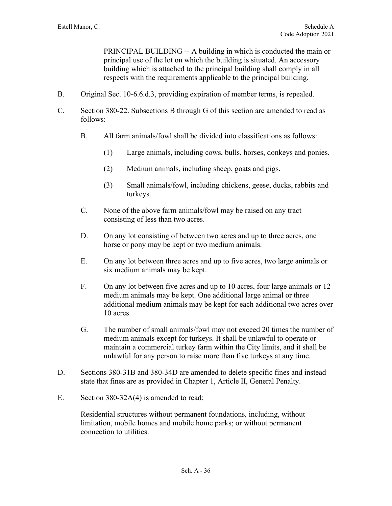PRINCIPAL BUILDING -- A building in which is conducted the main or principal use of the lot on which the building is situated. An accessory building which is attached to the principal building shall comply in all respects with the requirements applicable to the principal building.

- B. Original Sec. 10-6.6.d.3, providing expiration of member terms, is repealed.
- C. Section 380-22. Subsections B through G of this section are amended to read as follows:
	- B. All farm animals/fowl shall be divided into classifications as follows:
		- (1) Large animals, including cows, bulls, horses, donkeys and ponies.
		- (2) Medium animals, including sheep, goats and pigs.
		- (3) Small animals/fowl, including chickens, geese, ducks, rabbits and turkeys.
	- C. None of the above farm animals/fowl may be raised on any tract consisting of less than two acres.
	- D. On any lot consisting of between two acres and up to three acres, one horse or pony may be kept or two medium animals.
	- E. On any lot between three acres and up to five acres, two large animals or six medium animals may be kept.
	- F. On any lot between five acres and up to 10 acres, four large animals or 12 medium animals may be kept. One additional large animal or three additional medium animals may be kept for each additional two acres over 10 acres.
	- G. The number of small animals/fowl may not exceed 20 times the number of medium animals except for turkeys. It shall be unlawful to operate or maintain a commercial turkey farm within the City limits, and it shall be unlawful for any person to raise more than five turkeys at any time.
- D. Sections 380-31B and 380-34D are amended to delete specific fines and instead state that fines are as provided in Chapter 1, Article II, General Penalty.
- E. Section 380-32A(4) is amended to read:

Residential structures without permanent foundations, including, without limitation, mobile homes and mobile home parks; or without permanent connection to utilities.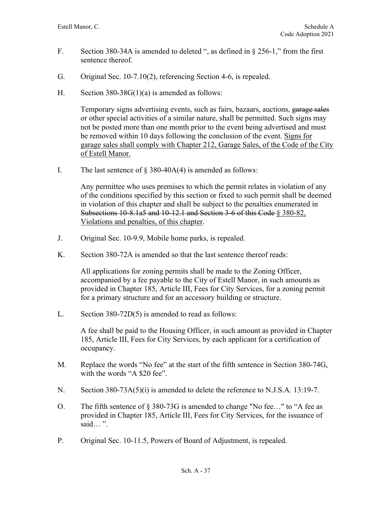- F. Section 380-34A is amended to deleted ", as defined in § 256-1," from the first sentence thereof.
- G. Original Sec. 10-7.10(2), referencing Section 4-6, is repealed.
- H. Section  $380-38G(1)(a)$  is amended as follows:

Temporary signs advertising events, such as fairs, bazaars, auctions, garage sales or other special activities of a similar nature, shall be permitted. Such signs may not be posted more than one month prior to the event being advertised and must be removed within 10 days following the conclusion of the event. Signs for garage sales shall comply with Chapter 212, Garage Sales, of the Code of the City of Estell Manor.

I. The last sentence of  $\S$  380-40A(4) is amended as follows:

Any permittee who uses premises to which the permit relates in violation of any of the conditions specified by this section or fixed to such permit shall be deemed in violation of this chapter and shall be subject to the penalties enumerated in Subsections 10-8.1a5 and 10-12.1 and Section 3-6 of this Code § 380-82, Violations and penalties, of this chapter.

- J. Original Sec. 10-9.9, Mobile home parks, is repealed.
- K. Section 380-72A is amended so that the last sentence thereof reads:

All applications for zoning permits shall be made to the Zoning Officer, accompanied by a fee payable to the City of Estell Manor, in such amounts as provided in Chapter 185, Article III, Fees for City Services, for a zoning permit for a primary structure and for an accessory building or structure.

L. Section 380-72D(5) is amended to read as follows:

A fee shall be paid to the Housing Officer, in such amount as provided in Chapter 185, Article III, Fees for City Services, by each applicant for a certification of occupancy.

- M. Replace the words "No fee" at the start of the fifth sentence in Section 380-74G, with the words "A \$20 fee".
- N. Section 380-73A(5)(i) is amended to delete the reference to N.J.S.A. 13:19-7.
- O. The fifth sentence of  $\S 380-73G$  is amended to change "No fee..." to "A fee as provided in Chapter 185, Article III, Fees for City Services, for the issuance of said… ".
- P. Original Sec. 10-11.5, Powers of Board of Adjustment, is repealed.